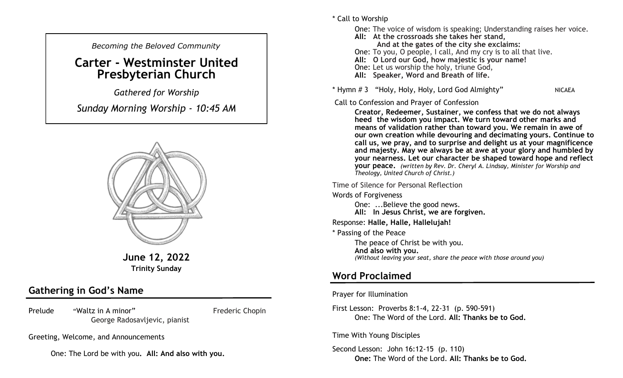*Becoming the Beloved Community* 

# **Carter - Westminster United Presbyterian Church**

*Gathered for Worship* 

*Sunday Morning Worship - 10:45 AM*



**June 12, 2022 Trinity Sunday**

## **Gathering in God's Name**

Prelude "Waltz in A minor" Frederic Chopin George Radosavljevic, pianist

Greeting, Welcome, and Announcements

One: The Lord be with you**. All: And also with you.**

\* Call to Worship

One: The voice of wisdom is speaking; Understanding raises her voice. **All: At the crossroads she takes her stand, And at the gates of the city she exclaims:** One: To you, O people, I call, And my cry is to all that live. **All: O Lord our God, how majestic is your name!** One: Let us worship the holy, triune God, **All: Speaker, Word and Breath of life.** 

\* Hymn # 3 "Holy, Holy, Holy, Lord God Almighty" NICAEA

#### Call to Confession and Prayer of Confession

**Creator, Redeemer, Sustainer, we confess that we do not always heed the wisdom you impact. We turn toward other marks and means of validation rather than toward you. We remain in awe of our own creation while devouring and decimating yours. Continue to call us, we pray, and to surprise and delight us at your magnificence and majesty. May we always be at awe at your glory and humbled by your nearness. Let our character be shaped toward hope and reflect your peace.** *(written by Rev. Dr. Cheryl A. Lindsay, Minister for Worship and Theology, United Church of Christ.)*

Time of Silence for Personal Reflection

Words of Forgiveness

One: ...Believe the good news. **All: In Jesus Christ, we are forgiven.** 

Response: **Halle, Halle, Hallelujah!**

\* Passing of the Peace

The peace of Christ be with you. **And also with you.**  *(Without leaving your seat, share the peace with those around you)*

## **Word Proclaimed**

Prayer for Illumination

First Lesson: Proverbs 8:1-4, 22-31 (p. 590-591) One: The Word of the Lord. **All: Thanks be to God.**

Time With Young Disciples

Second Lesson: John 16:12-15 (p. 110) **One:** The Word of the Lord. **All: Thanks be to God.**